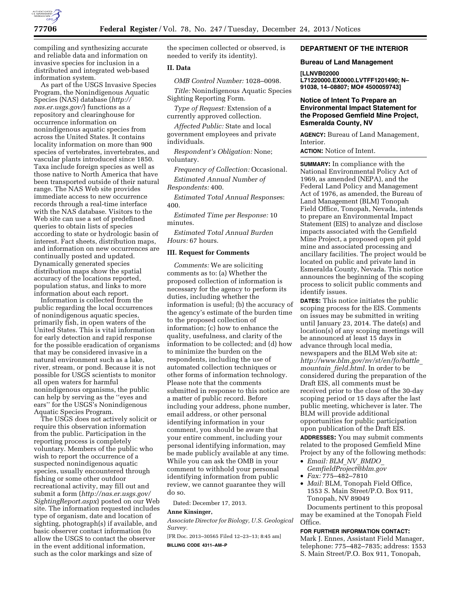

compiling and synthesizing accurate and reliable data and information on invasive species for inclusion in a distributed and integrated web-based information system.

As part of the USGS Invasive Species Program, the Nonindigenous Aquatic Species (NAS) database (*[http://](http://nas.er.usgs.gov/) [nas.er.usgs.gov/](http://nas.er.usgs.gov/)*) functions as a repository and clearinghouse for occurrence information on nonindigenous aquatic species from across the United States. It contains locality information on more than 900 species of vertebrates, invertebrates, and vascular plants introduced since 1850. Taxa include foreign species as well as those native to North America that have been transported outside of their natural range. The NAS Web site provides immediate access to new occurrence records through a real-time interface with the NAS database. Visitors to the Web site can use a set of predefined queries to obtain lists of species according to state or hydrologic basin of interest. Fact sheets, distribution maps, and information on new occurrences are continually posted and updated. Dynamically generated species distribution maps show the spatial accuracy of the locations reported, population status, and links to more information about each report.

Information is collected from the public regarding the local occurrences of nonindigenous aquatic species, primarily fish, in open waters of the United States. This is vital information for early detection and rapid response for the possible eradication of organisms that may be considered invasive in a natural environment such as a lake, river, stream, or pond. Because it is not possible for USGS scientists to monitor all open waters for harmful nonindigenous organisms, the public can help by serving as the ''eyes and ears'' for the USGS's Nonindigenous Aquatic Species Program.

The USGS does not actively solicit or require this observation information from the public. Participation in the reporting process is completely voluntary. Members of the public who wish to report the occurrence of a suspected nonindigenous aquatic species, usually encountered through fishing or some other outdoor recreational activity, may fill out and submit a form (*[http://nas.er.usgs.gov/](http://nas.er.usgs.gov/SightingReport.aspx) [SightingReport.aspx](http://nas.er.usgs.gov/SightingReport.aspx)*) posted on our Web site. The information requested includes type of organism, date and location of sighting, photograph(s) if available, and basic observer contact information (to allow the USGS to contact the observer in the event additional information, such as the color markings and size of

the specimen collected or observed, is needed to verify its identity).

## **II. Data**

*OMB Control Number:* 1028–0098.

*Title:* Nonindigenous Aquatic Species Sighting Reporting Form.

*Type of Request:* Extension of a currently approved collection.

*Affected Public:* State and local government employees and private individuals.

*Respondent's Obligation:* None; voluntary.

*Frequency of Collection:* Occasional. *Estimated Annual Number of Respondents:* 400.

*Estimated Total Annual Response*s: 400.

*Estimated Time per Response:* 10 minutes.

*Estimated Total Annual Burden Hours:* 67 hours.

## **III. Request for Comments**

*Comments:* We are soliciting comments as to: (a) Whether the proposed collection of information is necessary for the agency to perform its duties, including whether the information is useful; (b) the accuracy of the agency's estimate of the burden time to the proposed collection of information; (c) how to enhance the quality, usefulness, and clarity of the information to be collected; and (d) how to minimize the burden on the respondents, including the use of automated collection techniques or other forms of information technology. Please note that the comments submitted in response to this notice are a matter of public record. Before including your address, phone number, email address, or other personal identifying information in your comment, you should be aware that your entire comment, including your personal identifying information, may be made publicly available at any time. While you can ask the OMB in your comment to withhold your personal identifying information from public review, we cannot guarantee they will do so.

Dated: December 17, 2013.

#### **Anne Kinsinger,**

*Associate Director for Biology, U.S. Geological Survey.* 

[FR Doc. 2013–30565 Filed 12–23–13; 8:45 am] **BILLING CODE 4311–AM–P** 

# **DEPARTMENT OF THE INTERIOR**

#### **Bureau of Land Management**

**[LLNVB02000** 

**L71220000.EX0000.LVTFF1201490; N– 91038, 14–08807; MO# 4500059743]** 

## **Notice of Intent To Prepare an Environmental Impact Statement for the Proposed Gemfield Mine Project, Esmeralda County, NV**

**AGENCY:** Bureau of Land Management, Interior.

**ACTION:** Notice of Intent.

**SUMMARY:** In compliance with the National Environmental Policy Act of 1969, as amended (NEPA), and the Federal Land Policy and Management Act of 1976, as amended, the Bureau of Land Management (BLM) Tonopah Field Office, Tonopah, Nevada, intends to prepare an Environmental Impact Statement (EIS) to analyze and disclose impacts associated with the Gemfield Mine Project, a proposed open pit gold mine and associated processing and ancillary facilities. The project would be located on public and private land in Esmeralda County, Nevada. This notice announces the beginning of the scoping process to solicit public comments and identify issues.

**DATES:** This notice initiates the public scoping process for the EIS. Comments on issues may be submitted in writing until January 23, 2014. The date(s) and location(s) of any scoping meetings will be announced at least 15 days in advance through local media, newspapers and the BLM Web site at: *[http://www.blm.gov/nv/st/en/fo/battle](http://www.blm.gov/nv/st/en/fo/battle_mountain_field.html)*\_ *mountain*\_*[field.html.](http://www.blm.gov/nv/st/en/fo/battle_mountain_field.html)* In order to be considered during the preparation of the Draft EIS, all comments must be received prior to the close of the 30-day scoping period or 15 days after the last public meeting, whichever is later. The BLM will provide additional opportunities for public participation upon publication of the Draft EIS.

**ADDRESSES:** You may submit comments related to the proposed Gemfield Mine Project by any of the following methods:

- *Email: BLM*\_*NV*\_*[BMDO](mailto:BLM_NV_BMDO_GemfieldProject@blm.gov)*\_
- *[GemfieldProject@blm.gov](mailto:BLM_NV_BMDO_GemfieldProject@blm.gov)*  • *Fax:* 775–482–7810
- 
- *Mail: BLM, Tonopah Field Office,* 1553 S. Main Street/P.O. Box 911, Tonopah, NV 89049

Documents pertinent to this proposal may be examined at the Tonopah Field Office.

#### **FOR FURTHER INFORMATION CONTACT:**

Mark J. Ennes, Assistant Field Manager, telephone: 775–482–7835; address: 1553 S. Main Street/P.O. Box 911, Tonopah,